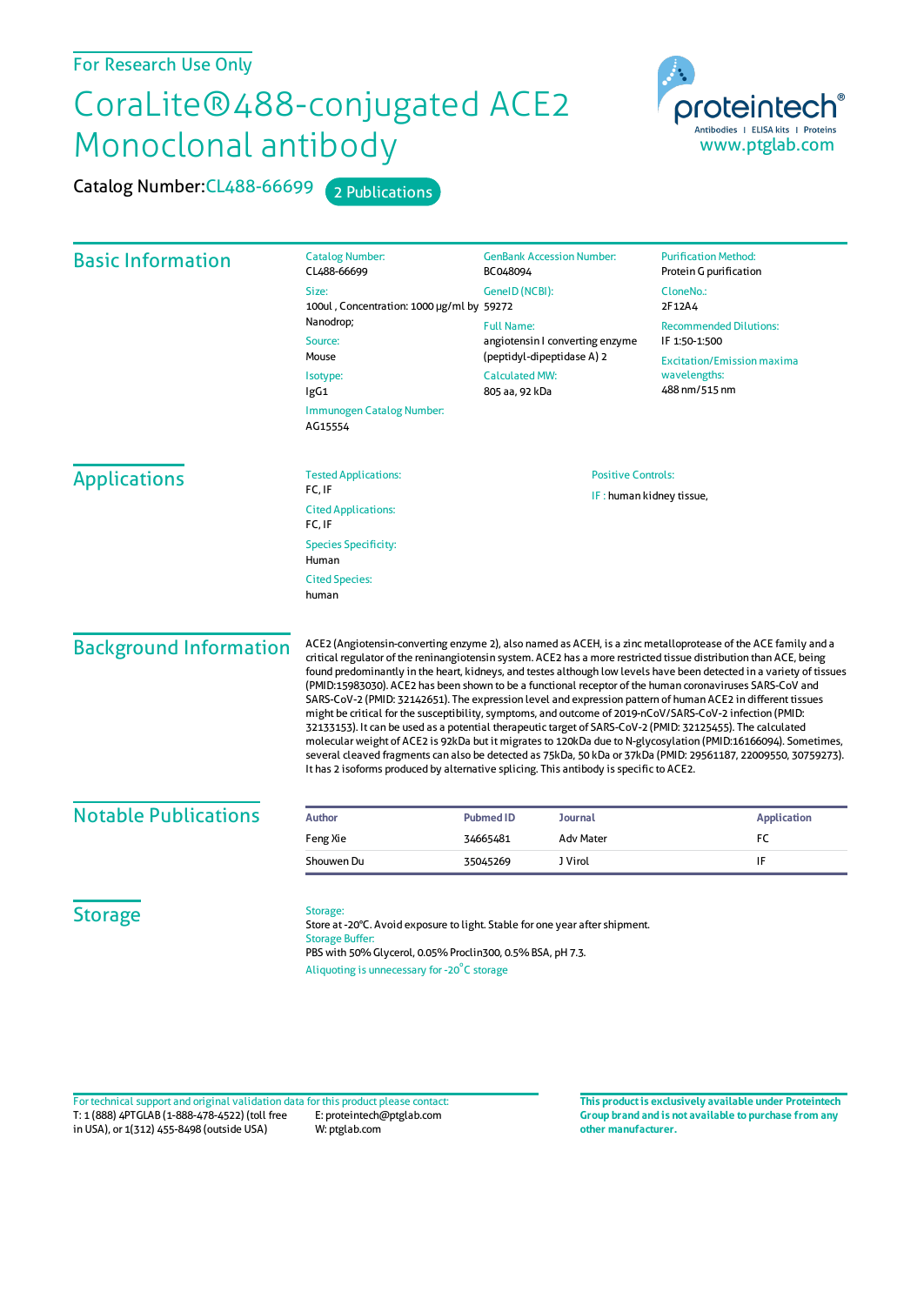## CoraLite®488-conjugated ACE2 Monoclonal antibody

Catalog Number: CL488-66699 2 Publications



| <b>Basic Information</b>       | <b>Catalog Number:</b><br>CL488-66699                                                                                                                                                                                                                                                                                                                                                                                                                                                                                                                                                                                                                                                                                                                                                                                                                                                                                                                                                                                                                                                                                                         | <b>GenBank Accession Number:</b><br>BC048094                                                                                  | <b>Purification Method:</b><br>Protein G purification                                                                |                     |                                       |                                                       |  |
|--------------------------------|-----------------------------------------------------------------------------------------------------------------------------------------------------------------------------------------------------------------------------------------------------------------------------------------------------------------------------------------------------------------------------------------------------------------------------------------------------------------------------------------------------------------------------------------------------------------------------------------------------------------------------------------------------------------------------------------------------------------------------------------------------------------------------------------------------------------------------------------------------------------------------------------------------------------------------------------------------------------------------------------------------------------------------------------------------------------------------------------------------------------------------------------------|-------------------------------------------------------------------------------------------------------------------------------|----------------------------------------------------------------------------------------------------------------------|---------------------|---------------------------------------|-------------------------------------------------------|--|
|                                | Size:                                                                                                                                                                                                                                                                                                                                                                                                                                                                                                                                                                                                                                                                                                                                                                                                                                                                                                                                                                                                                                                                                                                                         | GeneID (NCBI):                                                                                                                | CloneNo.:                                                                                                            |                     |                                       |                                                       |  |
|                                | 100ul, Concentration: 1000 µg/ml by 59272                                                                                                                                                                                                                                                                                                                                                                                                                                                                                                                                                                                                                                                                                                                                                                                                                                                                                                                                                                                                                                                                                                     |                                                                                                                               | 2F12A4                                                                                                               |                     |                                       |                                                       |  |
|                                | Nanodrop;<br>Source:<br>Mouse<br>Isotype:<br>lgG1<br>Immunogen Catalog Number:<br>AG15554                                                                                                                                                                                                                                                                                                                                                                                                                                                                                                                                                                                                                                                                                                                                                                                                                                                                                                                                                                                                                                                     | <b>Full Name:</b><br>angiotensin I converting enzyme<br>(peptidyl-dipeptidase A) 2<br><b>Calculated MW:</b><br>805 aa, 92 kDa | <b>Recommended Dilutions:</b><br>IF 1:50-1:500<br><b>Excitation/Emission maxima</b><br>wavelengths:<br>488 nm/515 nm |                     |                                       |                                                       |  |
|                                |                                                                                                                                                                                                                                                                                                                                                                                                                                                                                                                                                                                                                                                                                                                                                                                                                                                                                                                                                                                                                                                                                                                                               |                                                                                                                               |                                                                                                                      | <b>Applications</b> | <b>Tested Applications:</b><br>FC, IF | <b>Positive Controls:</b><br>IF: human kidney tissue, |  |
|                                |                                                                                                                                                                                                                                                                                                                                                                                                                                                                                                                                                                                                                                                                                                                                                                                                                                                                                                                                                                                                                                                                                                                                               |                                                                                                                               |                                                                                                                      |                     | <b>Cited Applications:</b>            |                                                       |  |
|                                |                                                                                                                                                                                                                                                                                                                                                                                                                                                                                                                                                                                                                                                                                                                                                                                                                                                                                                                                                                                                                                                                                                                                               |                                                                                                                               |                                                                                                                      |                     | FC, IF                                |                                                       |  |
|                                |                                                                                                                                                                                                                                                                                                                                                                                                                                                                                                                                                                                                                                                                                                                                                                                                                                                                                                                                                                                                                                                                                                                                               |                                                                                                                               |                                                                                                                      |                     | <b>Species Specificity:</b><br>Human  |                                                       |  |
| <b>Cited Species:</b><br>human |                                                                                                                                                                                                                                                                                                                                                                                                                                                                                                                                                                                                                                                                                                                                                                                                                                                                                                                                                                                                                                                                                                                                               |                                                                                                                               |                                                                                                                      |                     |                                       |                                                       |  |
| <b>Background Information</b>  | ACE2 (Angiotensin-converting enzyme 2), also named as ACEH, is a zinc metalloprotease of the ACE family and a<br>critical regulator of the reninangiotensin system. ACE2 has a more restricted tissue distribution than ACE, being<br>found predominantly in the heart, kidneys, and testes although low levels have been detected in a variety of tissues<br>(PMID:15983030). ACE2 has been shown to be a functional receptor of the human coronaviruses SARS-CoV and<br>SARS-CoV-2 (PMID: 32142651). The expression level and expression pattern of human ACE2 in different tissues<br>might be critical for the susceptibility, symptoms, and outcome of 2019-nCoV/SARS-CoV-2 infection (PMID:<br>32133153). It can be used as a potential therapeutic target of SARS-CoV-2 (PMID: 32125455). The calculated<br>molecular weight of ACE2 is 92kDa but it migrates to 120kDa due to N-glycosylation (PMID:16166094). Sometimes,<br>several cleaved fragments can also be detected as 75kDa, 50 kDa or 37kDa (PMID: 29561187, 22009550, 30759273).<br>It has 2 isoforms produced by alternative splicing. This antibody is specific to ACE2. |                                                                                                                               |                                                                                                                      |                     |                                       |                                                       |  |
| <b>Notable Publications</b>    | <b>Author</b>                                                                                                                                                                                                                                                                                                                                                                                                                                                                                                                                                                                                                                                                                                                                                                                                                                                                                                                                                                                                                                                                                                                                 | <b>Pubmed ID</b><br><b>Journal</b>                                                                                            | <b>Application</b>                                                                                                   |                     |                                       |                                                       |  |
|                                | Feng Xie                                                                                                                                                                                                                                                                                                                                                                                                                                                                                                                                                                                                                                                                                                                                                                                                                                                                                                                                                                                                                                                                                                                                      | <b>Adv Mater</b><br>34665481                                                                                                  | FC                                                                                                                   |                     |                                       |                                                       |  |
|                                | Shouwen Du                                                                                                                                                                                                                                                                                                                                                                                                                                                                                                                                                                                                                                                                                                                                                                                                                                                                                                                                                                                                                                                                                                                                    | J Virol<br>35045269                                                                                                           | IF                                                                                                                   |                     |                                       |                                                       |  |
| <b>Storage</b>                 | Storage:<br>Store at -20°C. Avoid exposure to light. Stable for one year after shipment.<br><b>Storage Buffer:</b><br>PBS with 50% Glycerol, 0.05% Proclin300, 0.5% BSA, pH 7.3.<br>Aliquoting is unnecessary for -20°C storage                                                                                                                                                                                                                                                                                                                                                                                                                                                                                                                                                                                                                                                                                                                                                                                                                                                                                                               |                                                                                                                               |                                                                                                                      |                     |                                       |                                                       |  |

T: 1 (888) 4PTGLAB (1-888-478-4522) (toll free in USA), or 1(312) 455-8498 (outside USA) E: proteintech@ptglab.com W: ptglab.com Fortechnical support and original validation data forthis product please contact: **This productis exclusively available under Proteintech**

**Group brand and is not available to purchase from any other manufacturer.**